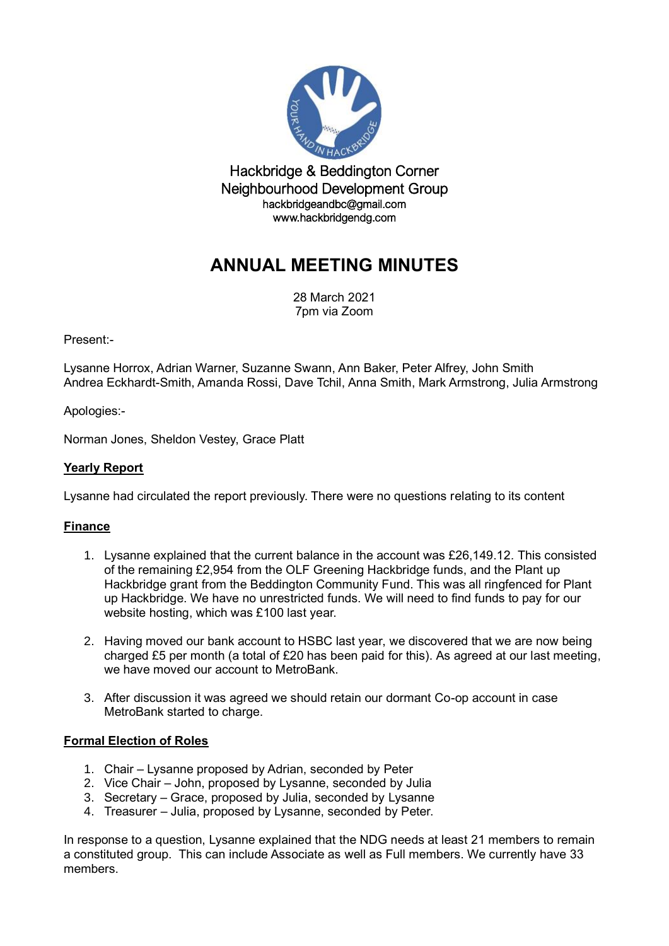

Hackbridge & Beddington Corner Neighbourhood Development Group hackbridgeandbc@gmail.com www.hackbridgendg.com

# **ANNUAL MEETING MINUTES**

28 March 2021 7pm via Zoom

Present:-

Lysanne Horrox, Adrian Warner, Suzanne Swann, Ann Baker, Peter Alfrey, John Smith Andrea Eckhardt-Smith, Amanda Rossi, Dave Tchil, Anna Smith, Mark Armstrong, Julia Armstrong

Apologies:-

Norman Jones, Sheldon Vestey, Grace Platt

# **Yearly Report**

Lysanne had circulated the report previously. There were no questions relating to its content

# **Finance**

- 1. Lysanne explained that the current balance in the account was £26,149.12*.* This consisted of the remaining £2,954 from the OLF Greening Hackbridge funds, and the Plant up Hackbridge grant from the Beddington Community Fund. This was all ringfenced for Plant up Hackbridge. We have no unrestricted funds. We will need to find funds to pay for our website hosting, which was £100 last year.
- 2. Having moved our bank account to HSBC last year, we discovered that we are now being charged £5 per month (a total of £20 has been paid for this). As agreed at our last meeting, we have moved our account to MetroBank.
- 3. After discussion it was agreed we should retain our dormant Co-op account in case MetroBank started to charge.

### **Formal Election of Roles**

- 1. Chair Lysanne proposed by Adrian, seconded by Peter
- 2. Vice Chair John, proposed by Lysanne, seconded by Julia
- 3. Secretary Grace, proposed by Julia, seconded by Lysanne
- 4. Treasurer Julia, proposed by Lysanne, seconded by Peter.

In response to a question, Lysanne explained that the NDG needs at least 21 members to remain a constituted group. This can include Associate as well as Full members. We currently have 33 members.